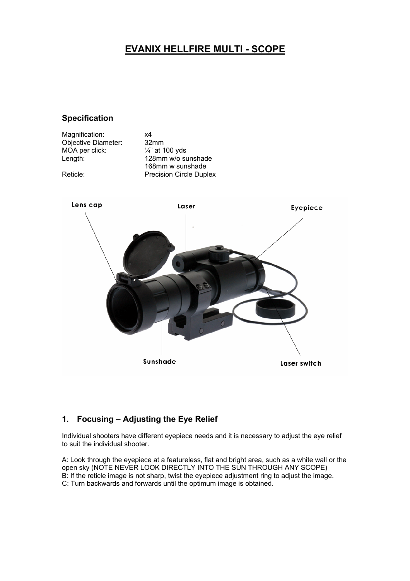# **EVANIX HELLFIRE MULTI - SCOPE**

### **Specification**

Magnification: x4<br>Objective Diameter: 32mm Objective Diameter:  $\frac{32 \text{mm}}{4}$  at 100 yds MOA per click:<br>Length:

128mm w/o sunshade 168mm w sunshade Reticle: Precision Circle Duplex



# **1. Focusing – Adjusting the Eye Relief**

Individual shooters have different eyepiece needs and it is necessary to adjust the eye relief to suit the individual shooter.

A: Look through the eyepiece at a featureless, flat and bright area, such as a white wall or the open sky (NOTE NEVER LOOK DIRECTLY INTO THE SUN THROUGH ANY SCOPE) B: If the reticle image is not sharp, twist the eyepiece adjustment ring to adjust the image. C: Turn backwards and forwards until the optimum image is obtained.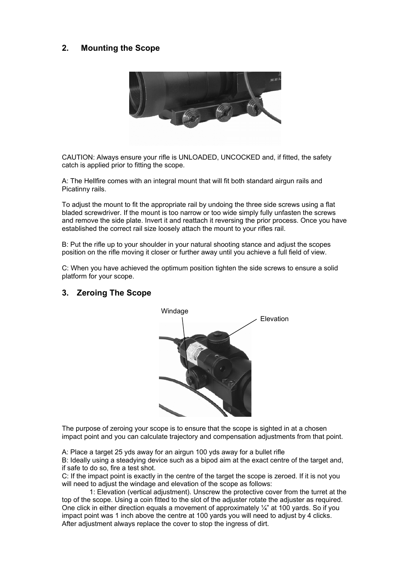# **2. Mounting the Scope**



CAUTION: Always ensure your rifle is UNLOADED, UNCOCKED and, if fitted, the safety catch is applied prior to fitting the scope.

A: The Hellfire comes with an integral mount that will fit both standard airgun rails and Picatinny rails.

To adjust the mount to fit the appropriate rail by undoing the three side screws using a flat bladed screwdriver. If the mount is too narrow or too wide simply fully unfasten the screws and remove the side plate. Invert it and reattach it reversing the prior process. Once you have established the correct rail size loosely attach the mount to your rifles rail.

B: Put the rifle up to your shoulder in your natural shooting stance and adjust the scopes position on the rifle moving it closer or further away until you achieve a full field of view.

C: When you have achieved the optimum position tighten the side screws to ensure a solid platform for your scope.

#### **3. Zeroing The Scope**



The purpose of zeroing your scope is to ensure that the scope is sighted in at a chosen impact point and you can calculate trajectory and compensation adjustments from that point.

A: Place a target 25 yds away for an airgun 100 yds away for a bullet rifle

B: Ideally using a steadying device such as a bipod aim at the exact centre of the target and, if safe to do so, fire a test shot.

C: If the impact point is exactly in the centre of the target the scope is zeroed. If it is not you will need to adjust the windage and elevation of the scope as follows:

 1: Elevation (vertical adjustment). Unscrew the protective cover from the turret at the top of the scope. Using a coin fitted to the slot of the adjuster rotate the adjuster as required. One click in either direction equals a movement of approximately ¼" at 100 yards. So if you impact point was 1 inch above the centre at 100 yards you will need to adjust by 4 clicks. After adjustment always replace the cover to stop the ingress of dirt.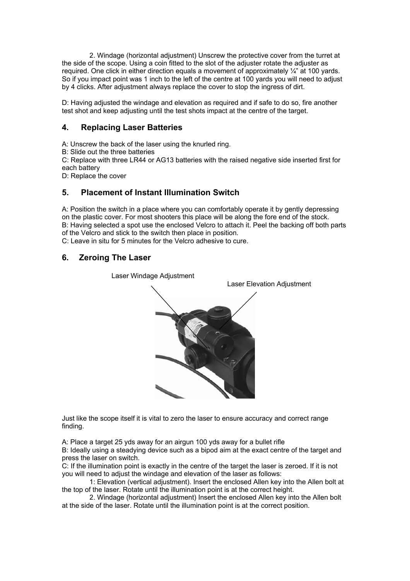2. Windage (horizontal adjustment) Unscrew the protective cover from the turret at the side of the scope. Using a coin fitted to the slot of the adjuster rotate the adjuster as required. One click in either direction equals a movement of approximately ¼" at 100 yards. So if you impact point was 1 inch to the left of the centre at 100 yards you will need to adjust by 4 clicks. After adjustment always replace the cover to stop the ingress of dirt.

D: Having adjusted the windage and elevation as required and if safe to do so, fire another test shot and keep adjusting until the test shots impact at the centre of the target.

#### **4. Replacing Laser Batteries**

A: Unscrew the back of the laser using the knurled ring.

B: Slide out the three batteries

C: Replace with three LR44 or AG13 batteries with the raised negative side inserted first for each battery

D: Replace the cover

### **5. Placement of Instant Illumination Switch**

A: Position the switch in a place where you can comfortably operate it by gently depressing on the plastic cover. For most shooters this place will be along the fore end of the stock. B: Having selected a spot use the enclosed Velcro to attach it. Peel the backing off both parts of the Velcro and stick to the switch then place in position.

C: Leave in situ for 5 minutes for the Velcro adhesive to cure.

## **6. Zeroing The Laser**



Laser Windage Adjustment

Just like the scope itself it is vital to zero the laser to ensure accuracy and correct range finding.

A: Place a target 25 yds away for an airgun 100 yds away for a bullet rifle

B: Ideally using a steadying device such as a bipod aim at the exact centre of the target and press the laser on switch.

C: If the illumination point is exactly in the centre of the target the laser is zeroed. If it is not you will need to adjust the windage and elevation of the laser as follows:

 1: Elevation (vertical adjustment). Insert the enclosed Allen key into the Allen bolt at the top of the laser. Rotate until the illumination point is at the correct height.

 2. Windage (horizontal adjustment) Insert the enclosed Allen key into the Allen bolt at the side of the laser. Rotate until the illumination point is at the correct position.